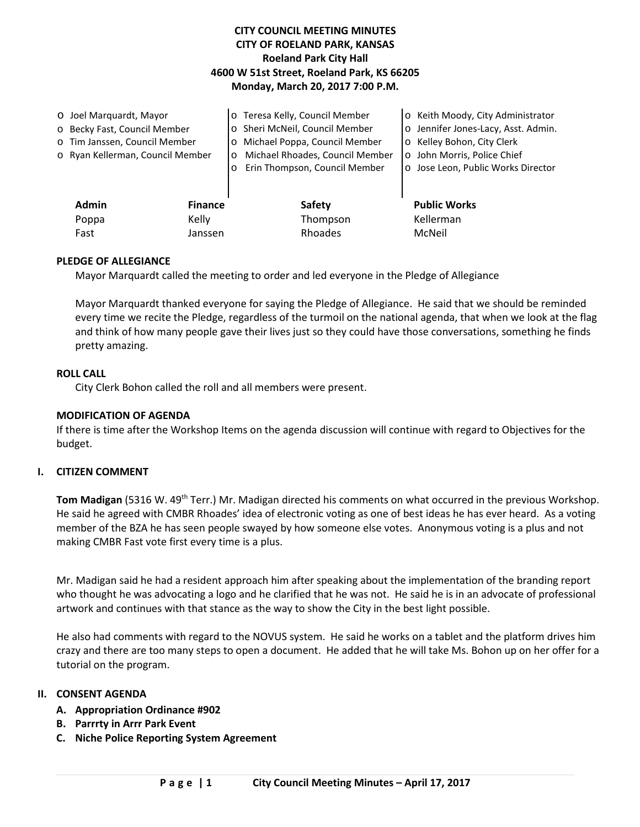# **CITY COUNCIL MEETING MINUTES CITY OF ROELAND PARK, KANSAS Roeland Park City Hall 4600 W 51st Street, Roeland Park, KS 66205 Monday, March 20, 2017 7:00 P.M.**

| O Joel Marquardt, Mayor      |                                  |                | o Teresa Kelly, Council Member             | o Keith Moody, City Administrator   |
|------------------------------|----------------------------------|----------------|--------------------------------------------|-------------------------------------|
| o Becky Fast, Council Member |                                  |                | o Sheri McNeil, Council Member             | o Jennifer Jones-Lacy, Asst. Admin. |
|                              | o Tim Janssen, Council Member    |                | o Michael Poppa, Council Member            | o Kelley Bohon, City Clerk          |
|                              | o Ryan Kellerman, Council Member |                | Michael Rhoades, Council Member<br>$\circ$ | o John Morris, Police Chief         |
|                              |                                  |                | Erin Thompson, Council Member<br>$\circ$   | o Jose Leon, Public Works Director  |
|                              |                                  |                |                                            |                                     |
|                              | <b>Admin</b>                     | <b>Finance</b> | <b>Safety</b>                              | <b>Public Works</b>                 |
|                              | Poppa                            | Kelly          | Thompson                                   | Kellerman                           |
|                              | Fast                             | Janssen        | Rhoades                                    | McNeil                              |

### **PLEDGE OF ALLEGIANCE**

Mayor Marquardt called the meeting to order and led everyone in the Pledge of Allegiance

Mayor Marquardt thanked everyone for saying the Pledge of Allegiance. He said that we should be reminded every time we recite the Pledge, regardless of the turmoil on the national agenda, that when we look at the flag and think of how many people gave their lives just so they could have those conversations, something he finds pretty amazing.

#### **ROLL CALL**

City Clerk Bohon called the roll and all members were present.

### **MODIFICATION OF AGENDA**

If there is time after the Workshop Items on the agenda discussion will continue with regard to Objectives for the budget.

#### **I. CITIZEN COMMENT**

**Tom Madigan** (5316 W. 49th Terr.) Mr. Madigan directed his comments on what occurred in the previous Workshop. He said he agreed with CMBR Rhoades' idea of electronic voting as one of best ideas he has ever heard. As a voting member of the BZA he has seen people swayed by how someone else votes. Anonymous voting is a plus and not making CMBR Fast vote first every time is a plus.

Mr. Madigan said he had a resident approach him after speaking about the implementation of the branding report who thought he was advocating a logo and he clarified that he was not. He said he is in an advocate of professional artwork and continues with that stance as the way to show the City in the best light possible.

He also had comments with regard to the NOVUS system. He said he works on a tablet and the platform drives him crazy and there are too many steps to open a document. He added that he will take Ms. Bohon up on her offer for a tutorial on the program.

### **II. CONSENT AGENDA**

- **A. Appropriation Ordinance #902**
- **B. Parrrty in Arrr Park Event**
- **C. Niche Police Reporting System Agreement**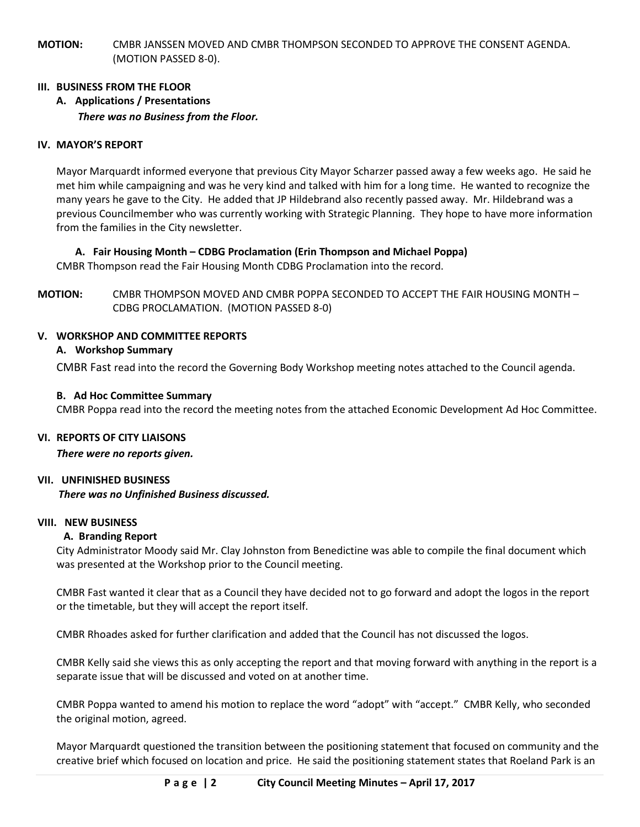**MOTION:** CMBR JANSSEN MOVED AND CMBR THOMPSON SECONDED TO APPROVE THE CONSENT AGENDA. (MOTION PASSED 8-0).

## **III. BUSINESS FROM THE FLOOR**

**A. Applications / Presentations** *There was no Business from the Floor.* 

### **IV. MAYOR'S REPORT**

Mayor Marquardt informed everyone that previous City Mayor Scharzer passed away a few weeks ago. He said he met him while campaigning and was he very kind and talked with him for a long time. He wanted to recognize the many years he gave to the City. He added that JP Hildebrand also recently passed away. Mr. Hildebrand was a previous Councilmember who was currently working with Strategic Planning. They hope to have more information from the families in the City newsletter.

### **A. Fair Housing Month – CDBG Proclamation (Erin Thompson and Michael Poppa)**

CMBR Thompson read the Fair Housing Month CDBG Proclamation into the record.

**MOTION:** CMBR THOMPSON MOVED AND CMBR POPPA SECONDED TO ACCEPT THE FAIR HOUSING MONTH – CDBG PROCLAMATION. (MOTION PASSED 8-0)

## **V. WORKSHOP AND COMMITTEE REPORTS**

### **A. Workshop Summary**

CMBR Fast read into the record the Governing Body Workshop meeting notes attached to the Council agenda.

### **B. Ad Hoc Committee Summary**

CMBR Poppa read into the record the meeting notes from the attached Economic Development Ad Hoc Committee.

### **VI. REPORTS OF CITY LIAISONS**

*There were no reports given.* 

### **VII. UNFINISHED BUSINESS**

*There was no Unfinished Business discussed.*

### **VIII. NEW BUSINESS**

### **A. Branding Report**

City Administrator Moody said Mr. Clay Johnston from Benedictine was able to compile the final document which was presented at the Workshop prior to the Council meeting.

CMBR Fast wanted it clear that as a Council they have decided not to go forward and adopt the logos in the report or the timetable, but they will accept the report itself.

CMBR Rhoades asked for further clarification and added that the Council has not discussed the logos.

CMBR Kelly said she views this as only accepting the report and that moving forward with anything in the report is a separate issue that will be discussed and voted on at another time.

CMBR Poppa wanted to amend his motion to replace the word "adopt" with "accept." CMBR Kelly, who seconded the original motion, agreed.

Mayor Marquardt questioned the transition between the positioning statement that focused on community and the creative brief which focused on location and price. He said the positioning statement states that Roeland Park is an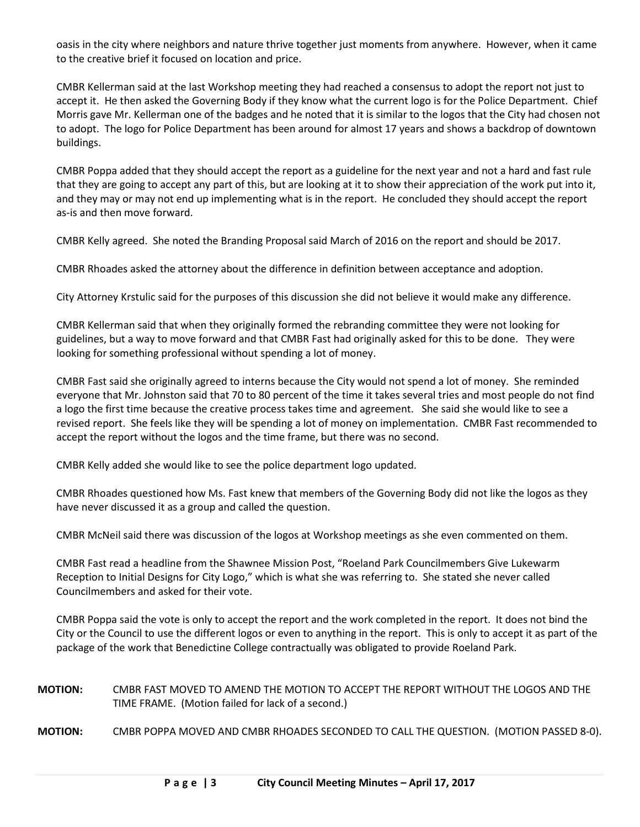oasis in the city where neighbors and nature thrive together just moments from anywhere. However, when it came to the creative brief it focused on location and price.

CMBR Kellerman said at the last Workshop meeting they had reached a consensus to adopt the report not just to accept it. He then asked the Governing Body if they know what the current logo is for the Police Department. Chief Morris gave Mr. Kellerman one of the badges and he noted that it is similar to the logos that the City had chosen not to adopt. The logo for Police Department has been around for almost 17 years and shows a backdrop of downtown buildings.

CMBR Poppa added that they should accept the report as a guideline for the next year and not a hard and fast rule that they are going to accept any part of this, but are looking at it to show their appreciation of the work put into it, and they may or may not end up implementing what is in the report. He concluded they should accept the report as-is and then move forward.

CMBR Kelly agreed. She noted the Branding Proposal said March of 2016 on the report and should be 2017.

CMBR Rhoades asked the attorney about the difference in definition between acceptance and adoption.

City Attorney Krstulic said for the purposes of this discussion she did not believe it would make any difference.

CMBR Kellerman said that when they originally formed the rebranding committee they were not looking for guidelines, but a way to move forward and that CMBR Fast had originally asked for this to be done. They were looking for something professional without spending a lot of money.

CMBR Fast said she originally agreed to interns because the City would not spend a lot of money. She reminded everyone that Mr. Johnston said that 70 to 80 percent of the time it takes several tries and most people do not find a logo the first time because the creative process takes time and agreement. She said she would like to see a revised report. She feels like they will be spending a lot of money on implementation. CMBR Fast recommended to accept the report without the logos and the time frame, but there was no second.

CMBR Kelly added she would like to see the police department logo updated.

CMBR Rhoades questioned how Ms. Fast knew that members of the Governing Body did not like the logos as they have never discussed it as a group and called the question.

CMBR McNeil said there was discussion of the logos at Workshop meetings as she even commented on them.

CMBR Fast read a headline from the Shawnee Mission Post, "Roeland Park Councilmembers Give Lukewarm Reception to Initial Designs for City Logo," which is what she was referring to. She stated she never called Councilmembers and asked for their vote.

CMBR Poppa said the vote is only to accept the report and the work completed in the report. It does not bind the City or the Council to use the different logos or even to anything in the report. This is only to accept it as part of the package of the work that Benedictine College contractually was obligated to provide Roeland Park.

# **MOTION:** CMBR FAST MOVED TO AMEND THE MOTION TO ACCEPT THE REPORT WITHOUT THE LOGOS AND THE TIME FRAME. (Motion failed for lack of a second.)

**MOTION:** CMBR POPPA MOVED AND CMBR RHOADES SECONDED TO CALL THE QUESTION. (MOTION PASSED 8-0).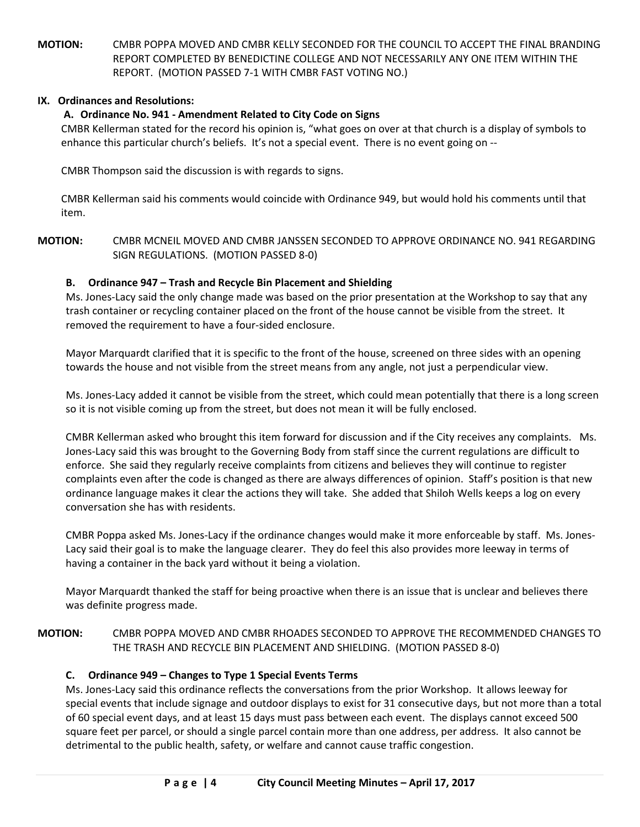**MOTION:** CMBR POPPA MOVED AND CMBR KELLY SECONDED FOR THE COUNCIL TO ACCEPT THE FINAL BRANDING REPORT COMPLETED BY BENEDICTINE COLLEGE AND NOT NECESSARILY ANY ONE ITEM WITHIN THE REPORT. (MOTION PASSED 7-1 WITH CMBR FAST VOTING NO.)

## **IX. Ordinances and Resolutions:**

# **A. Ordinance No. 941 - Amendment Related to City Code on Signs**

CMBR Kellerman stated for the record his opinion is, "what goes on over at that church is a display of symbols to enhance this particular church's beliefs. It's not a special event. There is no event going on --

CMBR Thompson said the discussion is with regards to signs.

CMBR Kellerman said his comments would coincide with Ordinance 949, but would hold his comments until that item.

**MOTION:** CMBR MCNEIL MOVED AND CMBR JANSSEN SECONDED TO APPROVE ORDINANCE NO. 941 REGARDING SIGN REGULATIONS. (MOTION PASSED 8-0)

# **B. Ordinance 947 – Trash and Recycle Bin Placement and Shielding**

Ms. Jones-Lacy said the only change made was based on the prior presentation at the Workshop to say that any trash container or recycling container placed on the front of the house cannot be visible from the street. It removed the requirement to have a four-sided enclosure.

Mayor Marquardt clarified that it is specific to the front of the house, screened on three sides with an opening towards the house and not visible from the street means from any angle, not just a perpendicular view.

Ms. Jones-Lacy added it cannot be visible from the street, which could mean potentially that there is a long screen so it is not visible coming up from the street, but does not mean it will be fully enclosed.

CMBR Kellerman asked who brought this item forward for discussion and if the City receives any complaints. Ms. Jones-Lacy said this was brought to the Governing Body from staff since the current regulations are difficult to enforce. She said they regularly receive complaints from citizens and believes they will continue to register complaints even after the code is changed as there are always differences of opinion. Staff's position is that new ordinance language makes it clear the actions they will take. She added that Shiloh Wells keeps a log on every conversation she has with residents.

CMBR Poppa asked Ms. Jones-Lacy if the ordinance changes would make it more enforceable by staff. Ms. Jones-Lacy said their goal is to make the language clearer. They do feel this also provides more leeway in terms of having a container in the back yard without it being a violation.

Mayor Marquardt thanked the staff for being proactive when there is an issue that is unclear and believes there was definite progress made.

# **MOTION:** CMBR POPPA MOVED AND CMBR RHOADES SECONDED TO APPROVE THE RECOMMENDED CHANGES TO THE TRASH AND RECYCLE BIN PLACEMENT AND SHIELDING. (MOTION PASSED 8-0)

# **C. Ordinance 949 – Changes to Type 1 Special Events Terms**

Ms. Jones-Lacy said this ordinance reflects the conversations from the prior Workshop. It allows leeway for special events that include signage and outdoor displays to exist for 31 consecutive days, but not more than a total of 60 special event days, and at least 15 days must pass between each event. The displays cannot exceed 500 square feet per parcel, or should a single parcel contain more than one address, per address. It also cannot be detrimental to the public health, safety, or welfare and cannot cause traffic congestion.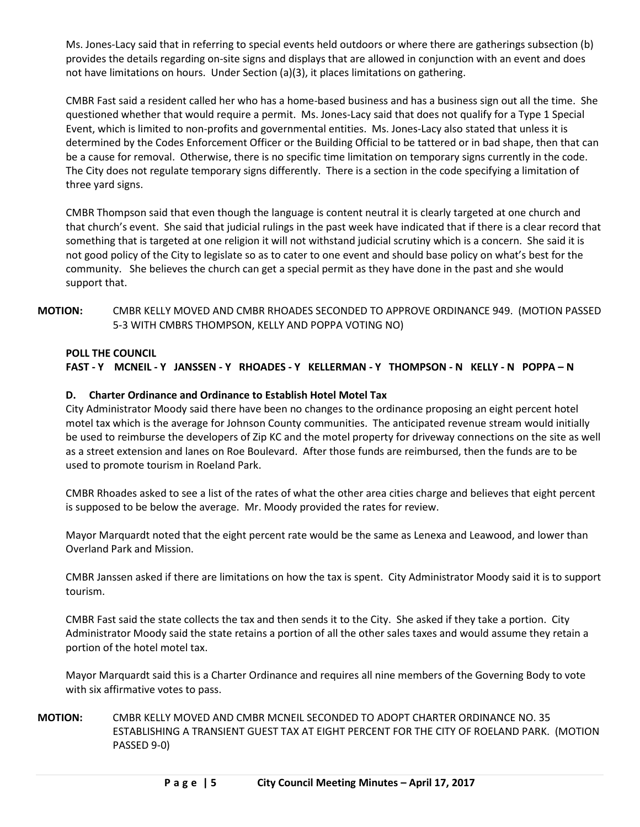Ms. Jones-Lacy said that in referring to special events held outdoors or where there are gatherings subsection (b) provides the details regarding on-site signs and displays that are allowed in conjunction with an event and does not have limitations on hours. Under Section (a)(3), it places limitations on gathering.

CMBR Fast said a resident called her who has a home-based business and has a business sign out all the time. She questioned whether that would require a permit. Ms. Jones-Lacy said that does not qualify for a Type 1 Special Event, which is limited to non-profits and governmental entities. Ms. Jones-Lacy also stated that unless it is determined by the Codes Enforcement Officer or the Building Official to be tattered or in bad shape, then that can be a cause for removal. Otherwise, there is no specific time limitation on temporary signs currently in the code. The City does not regulate temporary signs differently. There is a section in the code specifying a limitation of three yard signs.

CMBR Thompson said that even though the language is content neutral it is clearly targeted at one church and that church's event. She said that judicial rulings in the past week have indicated that if there is a clear record that something that is targeted at one religion it will not withstand judicial scrutiny which is a concern. She said it is not good policy of the City to legislate so as to cater to one event and should base policy on what's best for the community. She believes the church can get a special permit as they have done in the past and she would support that.

## **MOTION:** CMBR KELLY MOVED AND CMBR RHOADES SECONDED TO APPROVE ORDINANCE 949. (MOTION PASSED 5-3 WITH CMBRS THOMPSON, KELLY AND POPPA VOTING NO)

### **POLL THE COUNCIL**

**FAST - Y MCNEIL - Y JANSSEN - Y RHOADES - Y KELLERMAN - Y THOMPSON - N KELLY - N POPPA – N**

### **D. Charter Ordinance and Ordinance to Establish Hotel Motel Tax**

City Administrator Moody said there have been no changes to the ordinance proposing an eight percent hotel motel tax which is the average for Johnson County communities. The anticipated revenue stream would initially be used to reimburse the developers of Zip KC and the motel property for driveway connections on the site as well as a street extension and lanes on Roe Boulevard. After those funds are reimbursed, then the funds are to be used to promote tourism in Roeland Park.

CMBR Rhoades asked to see a list of the rates of what the other area cities charge and believes that eight percent is supposed to be below the average. Mr. Moody provided the rates for review.

Mayor Marquardt noted that the eight percent rate would be the same as Lenexa and Leawood, and lower than Overland Park and Mission.

CMBR Janssen asked if there are limitations on how the tax is spent. City Administrator Moody said it is to support tourism.

CMBR Fast said the state collects the tax and then sends it to the City. She asked if they take a portion. City Administrator Moody said the state retains a portion of all the other sales taxes and would assume they retain a portion of the hotel motel tax.

Mayor Marquardt said this is a Charter Ordinance and requires all nine members of the Governing Body to vote with six affirmative votes to pass.

## **MOTION:** CMBR KELLY MOVED AND CMBR MCNEIL SECONDED TO ADOPT CHARTER ORDINANCE NO. 35 ESTABLISHING A TRANSIENT GUEST TAX AT EIGHT PERCENT FOR THE CITY OF ROELAND PARK. (MOTION PASSED 9-0)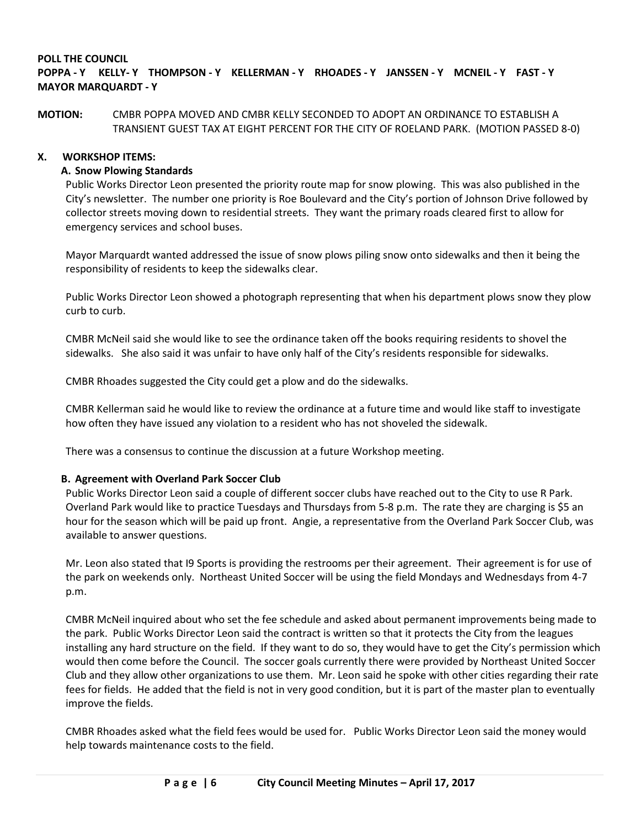## **POLL THE COUNCIL**

# **POPPA - Y KELLY- Y THOMPSON - Y KELLERMAN - Y RHOADES - Y JANSSEN - Y MCNEIL - Y FAST - Y MAYOR MARQUARDT - Y**

### **MOTION:** CMBR POPPA MOVED AND CMBR KELLY SECONDED TO ADOPT AN ORDINANCE TO ESTABLISH A TRANSIENT GUEST TAX AT EIGHT PERCENT FOR THE CITY OF ROELAND PARK. (MOTION PASSED 8-0)

### **X. WORKSHOP ITEMS:**

### **A. Snow Plowing Standards**

Public Works Director Leon presented the priority route map for snow plowing. This was also published in the City's newsletter. The number one priority is Roe Boulevard and the City's portion of Johnson Drive followed by collector streets moving down to residential streets. They want the primary roads cleared first to allow for emergency services and school buses.

Mayor Marquardt wanted addressed the issue of snow plows piling snow onto sidewalks and then it being the responsibility of residents to keep the sidewalks clear.

Public Works Director Leon showed a photograph representing that when his department plows snow they plow curb to curb.

CMBR McNeil said she would like to see the ordinance taken off the books requiring residents to shovel the sidewalks. She also said it was unfair to have only half of the City's residents responsible for sidewalks.

CMBR Rhoades suggested the City could get a plow and do the sidewalks.

CMBR Kellerman said he would like to review the ordinance at a future time and would like staff to investigate how often they have issued any violation to a resident who has not shoveled the sidewalk.

There was a consensus to continue the discussion at a future Workshop meeting.

#### **B. Agreement with Overland Park Soccer Club**

Public Works Director Leon said a couple of different soccer clubs have reached out to the City to use R Park. Overland Park would like to practice Tuesdays and Thursdays from 5-8 p.m. The rate they are charging is \$5 an hour for the season which will be paid up front. Angie, a representative from the Overland Park Soccer Club, was available to answer questions.

Mr. Leon also stated that I9 Sports is providing the restrooms per their agreement. Their agreement is for use of the park on weekends only. Northeast United Soccer will be using the field Mondays and Wednesdays from 4-7 p.m.

CMBR McNeil inquired about who set the fee schedule and asked about permanent improvements being made to the park. Public Works Director Leon said the contract is written so that it protects the City from the leagues installing any hard structure on the field. If they want to do so, they would have to get the City's permission which would then come before the Council. The soccer goals currently there were provided by Northeast United Soccer Club and they allow other organizations to use them. Mr. Leon said he spoke with other cities regarding their rate fees for fields. He added that the field is not in very good condition, but it is part of the master plan to eventually improve the fields.

CMBR Rhoades asked what the field fees would be used for. Public Works Director Leon said the money would help towards maintenance costs to the field.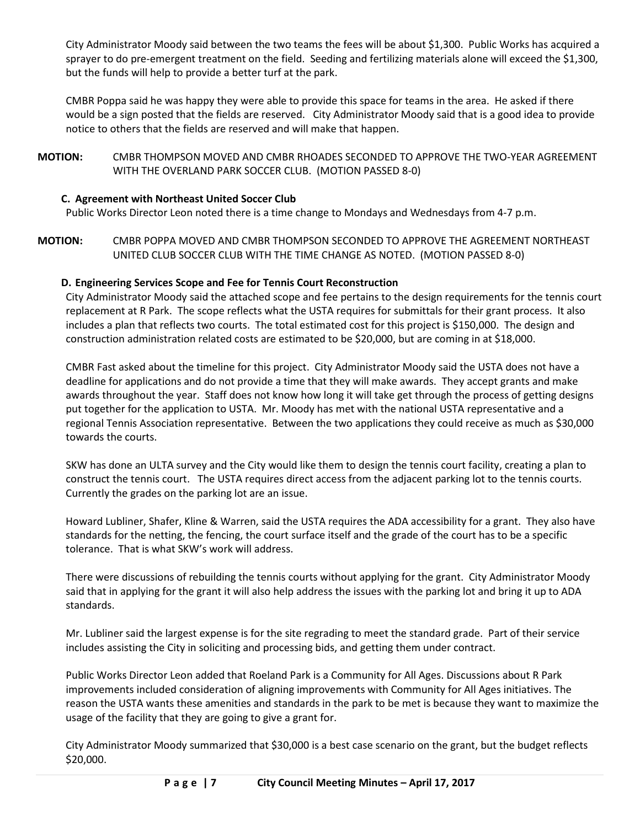City Administrator Moody said between the two teams the fees will be about \$1,300. Public Works has acquired a sprayer to do pre-emergent treatment on the field. Seeding and fertilizing materials alone will exceed the \$1,300, but the funds will help to provide a better turf at the park.

CMBR Poppa said he was happy they were able to provide this space for teams in the area. He asked if there would be a sign posted that the fields are reserved. City Administrator Moody said that is a good idea to provide notice to others that the fields are reserved and will make that happen.

**MOTION:** CMBR THOMPSON MOVED AND CMBR RHOADES SECONDED TO APPROVE THE TWO-YEAR AGREEMENT WITH THE OVERLAND PARK SOCCER CLUB. (MOTION PASSED 8-0)

## **C. Agreement with Northeast United Soccer Club**

Public Works Director Leon noted there is a time change to Mondays and Wednesdays from 4-7 p.m.

**MOTION:** CMBR POPPA MOVED AND CMBR THOMPSON SECONDED TO APPROVE THE AGREEMENT NORTHEAST UNITED CLUB SOCCER CLUB WITH THE TIME CHANGE AS NOTED. (MOTION PASSED 8-0)

## **D. Engineering Services Scope and Fee for Tennis Court Reconstruction**

City Administrator Moody said the attached scope and fee pertains to the design requirements for the tennis court replacement at R Park. The scope reflects what the USTA requires for submittals for their grant process. It also includes a plan that reflects two courts. The total estimated cost for this project is \$150,000. The design and construction administration related costs are estimated to be \$20,000, but are coming in at \$18,000.

CMBR Fast asked about the timeline for this project. City Administrator Moody said the USTA does not have a deadline for applications and do not provide a time that they will make awards. They accept grants and make awards throughout the year. Staff does not know how long it will take get through the process of getting designs put together for the application to USTA. Mr. Moody has met with the national USTA representative and a regional Tennis Association representative. Between the two applications they could receive as much as \$30,000 towards the courts.

SKW has done an ULTA survey and the City would like them to design the tennis court facility, creating a plan to construct the tennis court. The USTA requires direct access from the adjacent parking lot to the tennis courts. Currently the grades on the parking lot are an issue.

Howard Lubliner, Shafer, Kline & Warren, said the USTA requires the ADA accessibility for a grant. They also have standards for the netting, the fencing, the court surface itself and the grade of the court has to be a specific tolerance. That is what SKW's work will address.

There were discussions of rebuilding the tennis courts without applying for the grant. City Administrator Moody said that in applying for the grant it will also help address the issues with the parking lot and bring it up to ADA standards.

Mr. Lubliner said the largest expense is for the site regrading to meet the standard grade. Part of their service includes assisting the City in soliciting and processing bids, and getting them under contract.

Public Works Director Leon added that Roeland Park is a Community for All Ages. Discussions about R Park improvements included consideration of aligning improvements with Community for All Ages initiatives. The reason the USTA wants these amenities and standards in the park to be met is because they want to maximize the usage of the facility that they are going to give a grant for.

City Administrator Moody summarized that \$30,000 is a best case scenario on the grant, but the budget reflects \$20,000.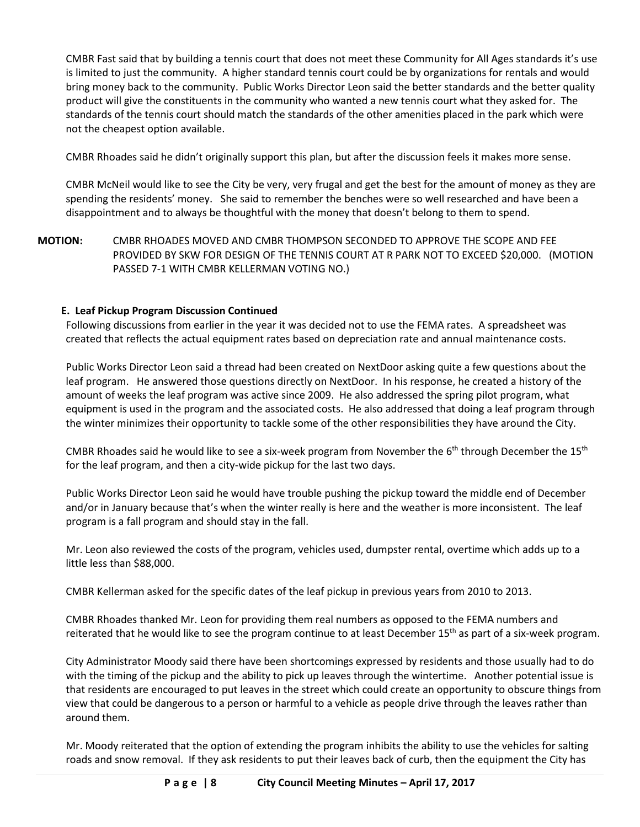CMBR Fast said that by building a tennis court that does not meet these Community for All Ages standards it's use is limited to just the community. A higher standard tennis court could be by organizations for rentals and would bring money back to the community. Public Works Director Leon said the better standards and the better quality product will give the constituents in the community who wanted a new tennis court what they asked for. The standards of the tennis court should match the standards of the other amenities placed in the park which were not the cheapest option available.

CMBR Rhoades said he didn't originally support this plan, but after the discussion feels it makes more sense.

CMBR McNeil would like to see the City be very, very frugal and get the best for the amount of money as they are spending the residents' money. She said to remember the benches were so well researched and have been a disappointment and to always be thoughtful with the money that doesn't belong to them to spend.

**MOTION:** CMBR RHOADES MOVED AND CMBR THOMPSON SECONDED TO APPROVE THE SCOPE AND FEE PROVIDED BY SKW FOR DESIGN OF THE TENNIS COURT AT R PARK NOT TO EXCEED \$20,000. (MOTION PASSED 7-1 WITH CMBR KELLERMAN VOTING NO.)

# **E. Leaf Pickup Program Discussion Continued**

Following discussions from earlier in the year it was decided not to use the FEMA rates. A spreadsheet was created that reflects the actual equipment rates based on depreciation rate and annual maintenance costs.

Public Works Director Leon said a thread had been created on NextDoor asking quite a few questions about the leaf program. He answered those questions directly on NextDoor. In his response, he created a history of the amount of weeks the leaf program was active since 2009. He also addressed the spring pilot program, what equipment is used in the program and the associated costs. He also addressed that doing a leaf program through the winter minimizes their opportunity to tackle some of the other responsibilities they have around the City.

CMBR Rhoades said he would like to see a six-week program from November the  $6<sup>th</sup>$  through December the  $15<sup>th</sup>$ for the leaf program, and then a city-wide pickup for the last two days.

Public Works Director Leon said he would have trouble pushing the pickup toward the middle end of December and/or in January because that's when the winter really is here and the weather is more inconsistent. The leaf program is a fall program and should stay in the fall.

Mr. Leon also reviewed the costs of the program, vehicles used, dumpster rental, overtime which adds up to a little less than \$88,000.

CMBR Kellerman asked for the specific dates of the leaf pickup in previous years from 2010 to 2013.

CMBR Rhoades thanked Mr. Leon for providing them real numbers as opposed to the FEMA numbers and reiterated that he would like to see the program continue to at least December 15<sup>th</sup> as part of a six-week program.

City Administrator Moody said there have been shortcomings expressed by residents and those usually had to do with the timing of the pickup and the ability to pick up leaves through the wintertime. Another potential issue is that residents are encouraged to put leaves in the street which could create an opportunity to obscure things from view that could be dangerous to a person or harmful to a vehicle as people drive through the leaves rather than around them.

Mr. Moody reiterated that the option of extending the program inhibits the ability to use the vehicles for salting roads and snow removal. If they ask residents to put their leaves back of curb, then the equipment the City has